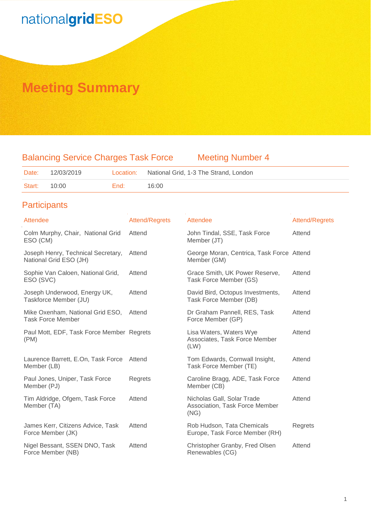### **Meeting Summary**

### Balancing Service Charges Task Force Meeting Number 4

| Date:  | 12/03/2019 |      | Location: National Grid, 1-3 The Strand, London |
|--------|------------|------|-------------------------------------------------|
| Start: | 10:00      | End: | 16:00                                           |

### **Participants**

| Attendee                                                     | <b>Attend/Regrets</b> | Attendee                                                             | Attend/Regrets |
|--------------------------------------------------------------|-----------------------|----------------------------------------------------------------------|----------------|
| Colm Murphy, Chair, National Grid<br>ESO (CM)                | Attend                | John Tindal, SSE, Task Force<br>Member (JT)                          | Attend         |
| Joseph Henry, Technical Secretary,<br>National Grid ESO (JH) | Attend                | George Moran, Centrica, Task Force Attend<br>Member (GM)             |                |
| Sophie Van Caloen, National Grid,<br>ESO (SVC)               | Attend                | Grace Smith, UK Power Reserve,<br>Task Force Member (GS)             | Attend         |
| Joseph Underwood, Energy UK,<br>Taskforce Member (JU)        | Attend                | David Bird, Octopus Investments,<br>Task Force Member (DB)           | Attend         |
| Mike Oxenham, National Grid ESO,<br><b>Task Force Member</b> | Attend                | Dr Graham Pannell, RES, Task<br>Force Member (GP)                    | Attend         |
| Paul Mott, EDF, Task Force Member Regrets<br>(PM)            |                       | Lisa Waters, Waters Wye<br>Associates, Task Force Member<br>(LW)     | Attend         |
| Laurence Barrett, E.On, Task Force<br>Member (LB)            | Attend                | Tom Edwards, Cornwall Insight,<br>Task Force Member (TE)             | Attend         |
| Paul Jones, Uniper, Task Force<br>Member (PJ)                | Regrets               | Caroline Bragg, ADE, Task Force<br>Member (CB)                       | Attend         |
| Tim Aldridge, Ofgem, Task Force<br>Member (TA)               | Attend                | Nicholas Gall, Solar Trade<br>Association, Task Force Member<br>(NG) | Attend         |
| James Kerr, Citizens Advice, Task<br>Force Member (JK)       | Attend                | Rob Hudson, Tata Chemicals<br>Europe, Task Force Member (RH)         | Regrets        |
| Nigel Bessant, SSEN DNO, Task<br>Force Member (NB)           | Attend                | Christopher Granby, Fred Olsen<br>Renewables (CG)                    | Attend         |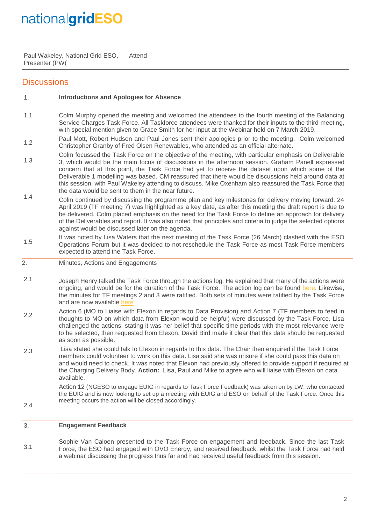Paul Wakeley, National Grid ESO, Presenter (PW( Attend

### **Discussions**

#### 1. **Introductions and Apologies for Absence**

- 1.1 Colm Murphy opened the meeting and welcomed the attendees to the fourth meeting of the Balancing Service Charges Task Force. All Taskforce attendees were thanked for their inputs to the third meeting, with special mention given to Grace Smith for her input at the Webinar held on 7 March 2019.
- 1.2 Paul Mott, Robert Hudson and Paul Jones sent their apologies prior to the meeting. Colm welcomed Christopher Granby of Fred Olsen Renewables, who attended as an official alternate.
- 1.3 Colm focussed the Task Force on the objective of the meeting, with particular emphasis on Deliverable 3, which would be the main focus of discussions in the afternoon session. Graham Panell expressed concern that at this point, the Task Force had yet to receive the dataset upon which some of the Deliverable 1 modelling was based. CM reassured that there would be discussions held around data at this session, with Paul Wakeley attending to discuss. Mike Oxenham also reassured the Task Force that the data would be sent to them in the near future.
- 1.4 Colm continued by discussing the programme plan and key milestones for delivery moving forward. 24 April 2019 (TF meeting 7) was highlighted as a key date, as after this meeting the draft report is due to be delivered. Colm placed emphasis on the need for the Task Force to define an approach for delivery of the Deliverables and report. It was also noted that principles and criteria to judge the selected options against would be discussed later on the agenda.
- 1.5 It was noted by Lisa Waters that the next meeting of the Task Force (26 March) clashed with the ESO Operations Forum but it was decided to not reschedule the Task Force as most Task Force members expected to attend the Task Force.
- 2. Minutes, Actions and Engagements
- 2.1 Joseph Henry talked the Task Force through the actions log. He explained that many of the actions were ongoing, and would be for the duration of the Task Force. The action log can be found [here.](http://www.chargingfutures.com/) Likewise, the minutes for TF meetings 2 and 3 were ratified. Both sets of minutes were ratified by the Task Force and are now available [here](http://www.chargingfutures.com/)
- 2.2 Action 6 (MO to Liaise with Elexon in regards to Data Provision) and Action 7 (TF members to feed in thoughts to MO on which data from Elexon would be helpful) were discussed by the Task Force. Lisa challenged the actions, stating it was her belief that specific time periods with the most relevance were to be selected, then requested from Elexon. David Bird made it clear that this data should be requested as soon as possible.
- 2.3 Lisa stated she could talk to Elexon in regards to this data. The Chair then enquired if the Task Force members could volunteer to work on this data. Lisa said she was unsure if she could pass this data on and would need to check. It was noted that Elexon had previously offered to provide support if required at the Charging Delivery Body. **Action:** Lisa, Paul and Mike to agree who will liaise with Elexon on data available.

Action 12 (NGESO to engage EUIG in regards to Task Force Feedback) was taken on by LW, who contacted the EUIG and is now looking to set up a meeting with EUIG and ESO on behalf of the Task Force. Once this meeting occurs the action will be closed accordingly.

2.4

3. **Engagement Feedback**

3.1 Sophie Van Caloen presented to the Task Force on engagement and feedback. Since the last Task Force, the ESO had engaged with OVO Energy, and received feedback, whilst the Task Force had held a webinar discussing the progress thus far and had received useful feedback from this session.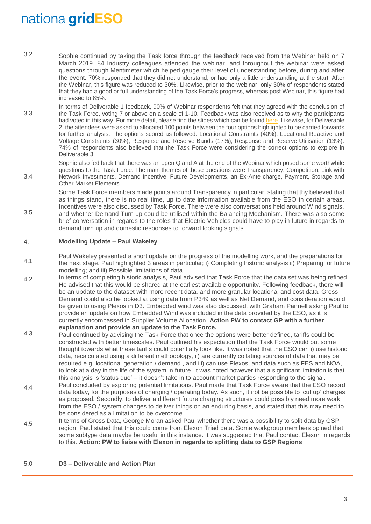3.4

3.5

- 3.2 Sophie continued by taking the Task force through the feedback received from the Webinar held on 7 March 2019. 84 Industry colleagues attended the webinar, and throughout the webinar were asked questions through Mentimeter which helped gauge their level of understanding before, during and after the event. 70% responded that they did not understand, or had only a little understanding at the start. After the Webinar, this figure was reduced to 30%. Likewise, prior to the webinar, only 30% of respondents stated that they had a good or full understanding of the Task Force's progress, whereas post Webinar, this figure had increased to 85%.
- 3.3 In terms of Deliverable 1 feedback, 90% of Webinar respondents felt that they agreed with the conclusion of the Task Force, voting 7 or above on a scale of 1-10. Feedback was also received as to why the participants had voted in this way. For more detail, please find the slides which can be foun[d here.](http://www.chargingfutures.com/) Likewise, for Deliverable 2, the attendees were asked to allocated 100 points between the four options highlighted to be carried forwards for further analysis. The options scored as followed: Locational Constraints (40%); Locational Reactive and Voltage Constraints (30%); Response and Reserve Bands (17%); Response and Reserve Utilisation (13%). 74% of respondents also believed that the Task Force were considering the correct options to explore in Deliverable 3.

Sophie also fed back that there was an open Q and A at the end of the Webinar which posed some worthwhile questions to the Task Force. The main themes of these questions were Transparency, Competition, Link with Network Investments, Demand Incentive, Future Developments, an Ex-Ante charge, Payment, Storage and Other Market Elements.

Some Task Force members made points around Transparency in particular, stating that thy believed that as things stand, there is no real time, up to date information available from the ESO in certain areas. Incentives were also discussed by Task Force. There were also conversations held around Wind signals, and whether Demand Turn up could be utilised within the Balancing Mechanism. There was also some brief conversation in regards to the roles that Electric Vehicles could have to play in future in regards to demand turn up and domestic responses to forward looking signals.

#### 4. **Modelling Update – Paul Wakeley**

- 4.1 Paul Wakeley presented a short update on the progress of the modelling work, and the preparations for the next stage. Paul highlighted 3 areas in particular; i) Completing historic analysis ii) Preparing for future modelling; and iii) Possible limitations of data.
- 4.2 In terms of completing historic analysis, Paul advised that Task Force that the data set was being refined. He advised that this would be shared at the earliest available opportunity. Following feedback, there will be an update to the dataset with more recent data, and more granular locational and cost data. Gross Demand could also be looked at using data from P349 as well as Net Demand, and consideration would be given to using Plexos in D3. Embedded wind was also discussed, with Graham Pannell asking Paul to provide an update on how Embedded Wind was included in the data provided by the ESO, as it is currently encompassed in Supplier Volume Allocation. **Action PW to contact GP with a further explanation and provide an update to the Task Force.**
- 4.3 Paul continued by advising the Task Force that once the options were better defined, tariffs could be constructed with better timescales. Paul outlined his expectation that the Task Force would put some thought towards what these tariffs could potentially look like. It was noted that the ESO can i) use historic data, recalculated using a different methodology, ii) are currently collating sources of data that may be required e.g. locational generation / demand., and iii) can use Plexos, and data such as FES and NOA, to look at a day in the life of the system in future. It was noted however that a significant limitation is that this analysis is 'status quo' – it doesn't take in to account market parties responding to the signal.
- 4.4 Paul concluded by exploring potential limitations. Paul made that Task Force aware that the ESO record data today, for the purposes of charging / operating today. As such, it not be possible to 'cut up' charges as proposed. Secondly, to deliver a different future charging structures could possibly need more work from the ESO / system changes to deliver things on an enduring basis, and stated that this may need to be considered as a limitation to be overcome.
- 4.5 It terms of Gross Data, George Moran asked Paul whether there was a possibility to split data by GSP region. Paul stated that this could come from Elexon Triad data. Some workgroup members opined that some subtype data maybe be useful in this instance. It was suggested that Paul contact Elexon in regards to this. **Action: PW to liaise with Elexon in regards to splitting data to GSP Regions**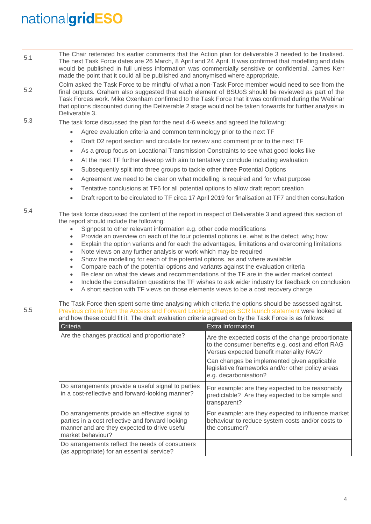- 5.1 The Chair reiterated his earlier comments that the Action plan for deliverable 3 needed to be finalised. The next Task Force dates are 26 March, 8 April and 24 April. It was confirmed that modelling and data would be published in full unless information was commercially sensitive or confidential. James Kerr made the point that it could all be published and anonymised where appropriate.
- 5.2 Colm asked the Task Force to be mindful of what a non-Task Force member would need to see from the final outputs. Graham also suggested that each element of BSUoS should be reviewed as part of the Task Forces work. Mike Oxenham confirmed to the Task Force that it was confirmed during the Webinar that options discounted during the Deliverable 2 stage would not be taken forwards for further analysis in Deliverable 3.
- 5.3 The task force discussed the plan for the next 4-6 weeks and agreed the following:
	- Agree evaluation criteria and common terminology prior to the next TF
	- Draft D2 report section and circulate for review and comment prior to the next TF
	- As a group focus on Locational Transmission Constraints to see what good looks like
	- At the next TF further develop with aim to tentatively conclude including evaluation
	- Subsequently split into three groups to tackle other three Potential Options
	- Agreement we need to be clear on what modelling is required and for what purpose
	- Tentative conclusions at TF6 for all potential options to allow draft report creation
	- Draft report to be circulated to TF circa 17 April 2019 for finalisation at TF7 and then consultation

#### 5.4 The task force discussed the content of the report in respect of Deliverable 3 and agreed this section of the report should include the following:

- Signpost to other relevant information e.g. other code modifications
- Provide an overview on each of the four potential options i.e. what is the defect; why; how
- Explain the option variants and for each the advantages, limitations and overcoming limitations
- Note views on any further analysis or work which may be required
- Show the modelling for each of the potential options, as and where available
- Compare each of the potential options and variants against the evaluation criteria
- Be clear on what the views and recommendations of the TF are in the wider market context
- Include the consultation questions the TF wishes to ask wider industry for feedback on conclusion
- A short section with TF views on those elements views to be a cost recovery charge

| The Task Force then spent some time analysing which criteria the options should be assessed against. |
|------------------------------------------------------------------------------------------------------|
| Previous criteria from the Access and Forward Looking Charges SCR launch statement were looked at    |
| and how these could fit it. The draft evaluation criteria agreed on by the Task Force is as follows: |

| Criteria                                                                                                                                                                | <b>Extra Information</b>                                                                                                                            |
|-------------------------------------------------------------------------------------------------------------------------------------------------------------------------|-----------------------------------------------------------------------------------------------------------------------------------------------------|
| Are the changes practical and proportionate?                                                                                                                            | Are the expected costs of the change proportionate<br>to the consumer benefits e.g. cost and effort RAG<br>Versus expected benefit materiality RAG? |
|                                                                                                                                                                         | Can changes be implemented given applicable<br>legislative frameworks and/or other policy areas<br>e.g. decarbonisation?                            |
| Do arrangements provide a useful signal to parties<br>in a cost-reflective and forward-looking manner?                                                                  | For example: are they expected to be reasonably<br>predictable? Are they expected to be simple and<br>transparent?                                  |
| Do arrangements provide an effective signal to<br>parties in a cost reflective and forward looking<br>manner and are they expected to drive useful<br>market behaviour? | For example: are they expected to influence market<br>behaviour to reduce system costs and/or costs to<br>the consumer?                             |
| Do arrangements reflect the needs of consumers<br>(as appropriate) for an essential service?                                                                            |                                                                                                                                                     |